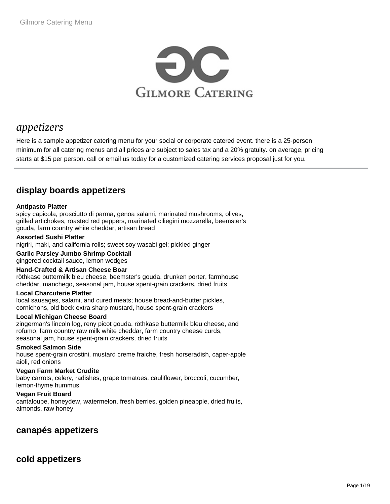

# *appetizers*

Here is a sample appetizer catering menu for your social or corporate catered event. there is a 25-person minimum for all catering menus and all prices are subject to sales tax and a 20% gratuity. on average, pricing starts at \$15 per person. call or email us today for a customized catering services proposal just for you.

## **display boards appetizers**

### **Antipasto Platter**

spicy capicola, prosciutto di parma, genoa salami, marinated mushrooms, olives, grilled artichokes, roasted red peppers, marinated ciliegini mozzarella, beemster's gouda, farm country white cheddar, artisan bread

### **Assorted Sushi Platter**

nigriri, maki, and california rolls; sweet soy wasabi gel; pickled ginger

**Garlic Parsley Jumbo Shrimp Cocktail**  gingered cocktail sauce, lemon wedges

### **Hand-Crafted & Artisan Cheese Boar**

röthkase buttermilk bleu cheese, beemster's gouda, drunken porter, farmhouse cheddar, manchego, seasonal jam, house spent-grain crackers, dried fruits

### **Local Charcuterie Platter**

local sausages, salami, and cured meats; house bread-and-butter pickles, cornichons, old beck extra sharp mustard, house spent-grain crackers

### **Local Michigan Cheese Board**

zingerman's lincoln log, reny picot gouda, röthkase buttermilk bleu cheese, and rofumo, farm country raw milk white cheddar, farm country cheese curds, seasonal jam, house spent-grain crackers, dried fruits

### **Smoked Salmon Side**

house spent-grain crostini, mustard creme fraiche, fresh horseradish, caper-apple aioli, red onions

### **Vegan Farm Market Crudite**

baby carrots, celery, radishes, grape tomatoes, cauliflower, broccoli, cucumber, lemon-thyme hummus

### **Vegan Fruit Board**

cantaloupe, honeydew, watermelon, fresh berries, golden pineapple, dried fruits, almonds, raw honey

## **canapés appetizers**

## **cold appetizers**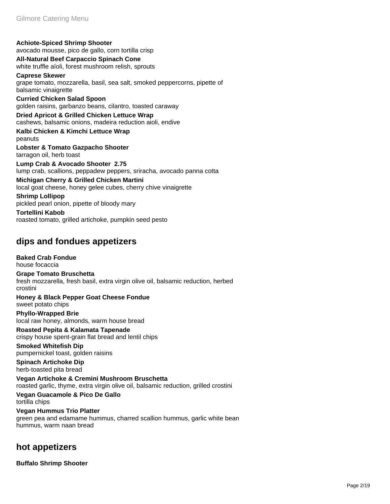**Achiote-Spiced Shrimp Shooter**  avocado mousse, pico de gallo, corn tortilla crisp **All-Natural Beef Carpaccio Spinach Cone**  white truffle aïoli, forest mushroom relish, sprouts **Caprese Skewer**  grape tomato, mozzarella, basil, sea salt, smoked peppercorns, pipette of balsamic vinaigrette

**Curried Chicken Salad Spoon**  golden raisins, garbanzo beans, cilantro, toasted caraway

**Dried Apricot & Grilled Chicken Lettuce Wrap**  cashews, balsamic onions, madeira reduction aioli, endive

**Kalbi Chicken & Kimchi Lettuce Wrap**  peanuts

**Lobster & Tomato Gazpacho Shooter**  tarragon oil, herb toast

**Lump Crab & Avocado Shooter 2.75** lump crab, scallions, peppadew peppers, sriracha, avocado panna cotta

**Michigan Cherry & Grilled Chicken Martini**  local goat cheese, honey gelee cubes, cherry chive vinaigrette

**Shrimp Lollipop**  pickled pearl onion, pipette of bloody mary

**Tortellini Kabob**  roasted tomato, grilled artichoke, pumpkin seed pesto

## **dips and fondues appetizers**

**Baked Crab Fondue**  house focaccia

**Grape Tomato Bruschetta**  fresh mozzarella, fresh basil, extra virgin olive oil, balsamic reduction, herbed crostini

**Honey & Black Pepper Goat Cheese Fondue**  sweet potato chips

**Phyllo-Wrapped Brie**  local raw honey, almonds, warm house bread

**Roasted Pepita & Kalamata Tapenade**  crispy house spent-grain flat bread and lentil chips

**Smoked Whitefish Dip**  pumpernickel toast, golden raisins

**Spinach Artichoke Dip**  herb-toasted pita bread

**Vegan Artichoke & Cremini Mushroom Bruschetta**  roasted garlic, thyme, extra virgin olive oil, balsamic reduction, grilled crostini

**Vegan Guacamole & Pico De Gallo**  tortilla chips

**Vegan Hummus Trio Platter**  green pea and edamame hummus, charred scallion hummus, garlic white bean hummus, warm naan bread

## **hot appetizers**

**Buffalo Shrimp Shooter**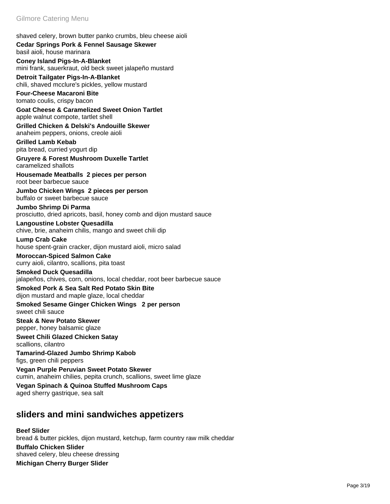shaved celery, brown butter panko crumbs, bleu cheese aioli

### **Cedar Springs Pork & Fennel Sausage Skewer**  basil aioli, house marinara

**Coney Island Pigs-In-A-Blanket**  mini frank, sauerkraut, old beck sweet jalapeño mustard

**Detroit Tailgater Pigs-In-A-Blanket**  chili, shaved mcclure's pickles, yellow mustard

**Four-Cheese Macaroni Bite**  tomato coulis, crispy bacon

**Goat Cheese & Caramelized Sweet Onion Tartlet**  apple walnut compote, tartlet shell

**Grilled Chicken & Delski's Andouille Skewer**  anaheim peppers, onions, creole aioli

**Grilled Lamb Kebab**  pita bread, curried yogurt dip

**Gruyere & Forest Mushroom Duxelle Tartlet**  caramelized shallots

**Housemade Meatballs 2 pieces per person** root beer barbecue sauce

**Jumbo Chicken Wings 2 pieces per person** buffalo or sweet barbecue sauce

**Jumbo Shrimp Di Parma**  prosciutto, dried apricots, basil, honey comb and dijon mustard sauce

### **Langoustine Lobster Quesadilla**

chive, brie, anaheim chilis, mango and sweet chili dip

**Lump Crab Cake**  house spent-grain cracker, dijon mustard aioli, micro salad

#### **Moroccan-Spiced Salmon Cake**  curry aioli, cilantro, scallions, pita toast

### **Smoked Duck Quesadilla**

jalapeños, chives, corn, onions, local cheddar, root beer barbecue sauce

**Smoked Pork & Sea Salt Red Potato Skin Bite**  dijon mustard and maple glaze, local cheddar

**Smoked Sesame Ginger Chicken Wings 2 per person** sweet chili sauce

#### **Steak & New Potato Skewer**  pepper, honey balsamic glaze

**Sweet Chili Glazed Chicken Satay**  scallions, cilantro

**Tamarind-Glazed Jumbo Shrimp Kabob**  figs, green chili peppers

**Vegan Purple Peruvian Sweet Potato Skewer**  cumin, anaheim chilies, pepita crunch, scallions, sweet lime glaze

**Vegan Spinach & Quinoa Stuffed Mushroom Caps**  aged sherry gastrique, sea salt

## **sliders and mini sandwiches appetizers**

### **Beef Slider**  bread & butter pickles, dijon mustard, ketchup, farm country raw milk cheddar **Buffalo Chicken Slider**  shaved celery, bleu cheese dressing

**Michigan Cherry Burger Slider**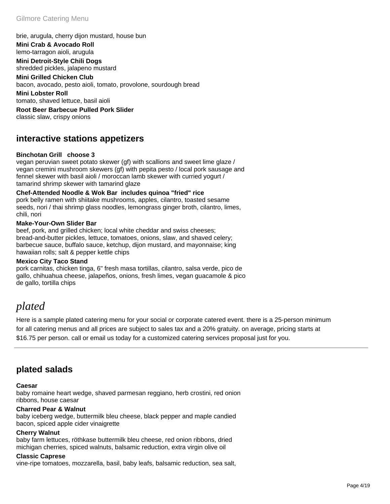### brie, arugula, cherry dijon mustard, house bun

**Mini Crab & Avocado Roll**  lemo-tarragon aioli, arugula

**Mini Detroit-Style Chili Dogs**  shredded pickles, jalapeno mustard

**Mini Grilled Chicken Club**  bacon, avocado, pesto aioli, tomato, provolone, sourdough bread

**Mini Lobster Roll**  tomato, shaved lettuce, basil aioli

**Root Beer Barbecue Pulled Pork Slider**  classic slaw, crispy onions

## **interactive stations appetizers**

### **Binchotan Grill choose 3**

vegan peruvian sweet potato skewer (gf) with scallions and sweet lime glaze / vegan cremini mushroom skewers (gf) with pepita pesto / local pork sausage and fennel skewer with basil aioli / moroccan lamb skewer with curried yogurt / tamarind shrimp skewer with tamarind glaze

**Chef-Attended Noodle & Wok Bar includes quinoa "fried" rice** pork belly ramen with shiitake mushrooms, apples, cilantro, toasted sesame seeds, nori / thai shrimp glass noodles, lemongrass ginger broth, cilantro, limes, chili, nori

### **Make-Your-Own Slider Bar**

beef, pork, and grilled chicken; local white cheddar and swiss cheeses; bread-and-butter pickles, lettuce, tomatoes, onions, slaw, and shaved celery; barbecue sauce, buffalo sauce, ketchup, dijon mustard, and mayonnaise; king hawaiian rolls; salt & pepper kettle chips

### **Mexico City Taco Stand**

pork carnitas, chicken tinga, 6" fresh masa tortillas, cilantro, salsa verde, pico de gallo, chihuahua cheese, jalapeños, onions, fresh limes, vegan guacamole & pico de gallo, tortilla chips

# *plated*

Here is a sample plated catering menu for your social or corporate catered event. there is a 25-person minimum for all catering menus and all prices are subject to sales tax and a 20% gratuity. on average, pricing starts at \$16.75 per person. call or email us today for a customized catering services proposal just for you.

## **plated salads**

### **Caesar**

baby romaine heart wedge, shaved parmesan reggiano, herb crostini, red onion ribbons, house caesar

### **Charred Pear & Walnut**

baby iceberg wedge, buttermilk bleu cheese, black pepper and maple candied bacon, spiced apple cider vinaigrette

### **Cherry Walnut**

baby farm lettuces, röthkase buttermilk bleu cheese, red onion ribbons, dried michigan cherries, spiced walnuts, balsamic reduction, extra virgin olive oil

### **Classic Caprese**

vine-ripe tomatoes, mozzarella, basil, baby leafs, balsamic reduction, sea salt,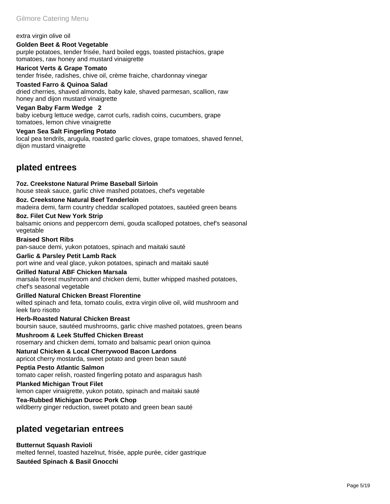#### extra virgin olive oil

**Golden Beet & Root Vegetable**  purple potatoes, tender frisée, hard boiled eggs, toasted pistachios, grape tomatoes, raw honey and mustard vinaigrette

### **Haricot Verts & Grape Tomato**

tender frisée, radishes, chive oil, crème fraiche, chardonnay vinegar

### **Toasted Farro & Quinoa Salad**

dried cherries, shaved almonds, baby kale, shaved parmesan, scallion, raw honey and dijon mustard vinaigrette

### **Vegan Baby Farm Wedge 2**

baby iceburg lettuce wedge, carrot curls, radish coins, cucumbers, grape tomatoes, lemon chive vinaigrette

### **Vegan Sea Salt Fingerling Potato**

local pea tendrils, arugula, roasted garlic cloves, grape tomatoes, shaved fennel, dijon mustard vinaigrette

## **plated entrees**

### **7oz. Creekstone Natural Prime Baseball Sirloin**  house steak sauce, garlic chive mashed potatoes, chef's vegetable

**8oz. Creekstone Natural Beef Tenderloin**  madeira demi, farm country cheddar scalloped potatoes, sautéed green beans

### **8oz. Filet Cut New York Strip**

balsamic onions and peppercorn demi, gouda scalloped potatoes, chef's seasonal vegetable

**Braised Short Ribs**  pan-sauce demi, yukon potatoes, spinach and maitaki sauté

### **Garlic & Parsley Petit Lamb Rack**

port wine and veal glace, yukon potatoes, spinach and maitaki sauté

### **Grilled Natural ABF Chicken Marsala**

marsala forest mushroom and chicken demi, butter whipped mashed potatoes, chef's seasonal vegetable

**Grilled Natural Chicken Breast Florentine**  wilted spinach and feta, tomato coulis, extra virgin olive oil, wild mushroom and leek faro risotto

**Herb-Roasted Natural Chicken Breast**  boursin sauce, sautéed mushrooms, garlic chive mashed potatoes, green beans

**Mushroom & Leek Stuffed Chicken Breast**  rosemary and chicken demi, tomato and balsamic pearl onion quinoa

# **Natural Chicken & Local Cherrywood Bacon Lardons**

apricot cherry mostarda, sweet potato and green bean sauté

#### **Peptia Pesto Atlantic Salmon**  tomato caper relish, roasted fingerling potato and asparagus hash

**Planked Michigan Trout Filet** 

lemon caper vinaigrette, yukon potato, spinach and maitaki sauté

**Tea-Rubbed Michigan Duroc Pork Chop**  wildberry ginger reduction, sweet potato and green bean sauté

## **plated vegetarian entrees**

**Butternut Squash Ravioli**  melted fennel, toasted hazelnut, frisée, apple purée, cider gastrique **Sautéed Spinach & Basil Gnocchi**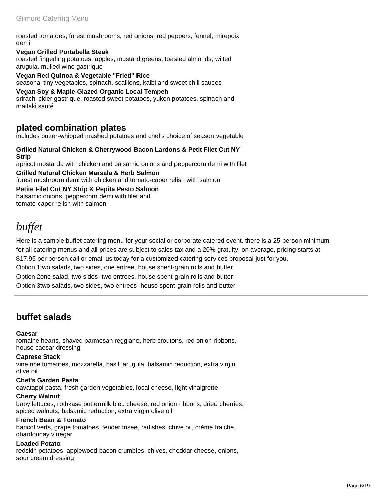roasted tomatoes, forest mushrooms, red onions, red peppers, fennel, mirepoix demi

### **Vegan Grilled Portabella Steak**

roasted fingerling potatoes, apples, mustard greens, toasted almonds, wilted arugula, mulled wine gastrique

**Vegan Red Quinoa & Vegetable "Fried" Rice**  seasonal tiny vegetables, spinach, scallions, kalbi and sweet chili sauces

#### **Vegan Soy & Maple-Glazed Organic Local Tempeh**  srirachi cider gastrique, roasted sweet potatoes, yukon potatoes, spinach and

maitaki sauté

## **plated combination plates**

includes butter-whipped mashed potatoes and chef's choice of season vegetable

### **Grilled Natural Chicken & Cherrywood Bacon Lardons & Petit Filet Cut NY Strip**  apricot mostarda with chicken and balsamic onions and peppercorn demi with filet

**Grilled Natural Chicken Marsala & Herb Salmon**  forest mushroom demi with chicken and tomato-caper relish with salmon

**Petite Filet Cut NY Strip & Pepita Pesto Salmon**  balsamic onions, peppercorn demi with filet and tomato-caper relish with salmon

# *buffet*

Here is a sample buffet catering menu for your social or corporate catered event. there is a 25-person minimum for all catering menus and all prices are subject to sales tax and a 20% gratuity. on average, pricing starts at \$17.95 per person.call or email us today for a customized catering services proposal just for you.

Option 1two salads, two sides, one entree, house spent-grain rolls and butter

Option 2one salad, two sides, two entrees, house spent-grain rolls and butter

Option 3two salads, two sides, two entrees, house spent-grain rolls and butter

## **buffet salads**

### **Caesar**

romaine hearts, shaved parmesan reggiano, herb croutons, red onion ribbons, house caesar dressing

### **Caprese Stack**

vine ripe tomatoes, mozzarella, basil, arugula, balsamic reduction, extra virgin olive oil

### **Chef's Garden Pasta**

cavatappi pasta, fresh garden vegetables, local cheese, light vinaigrette

### **Cherry Walnut**

baby lettuces, rothkase buttermilk bleu cheese, red onion ribbons, dried cherries, spiced walnuts, balsamic reduction, extra virgin olive oil

#### **French Bean & Tomato**  haricot verts, grape tomatoes, tender frisée, radishes, chive oil, crème fraiche, chardonnay vinegar

### **Loaded Potato**

redskin potatoes, applewood bacon crumbles, chives, cheddar cheese, onions, sour cream dressing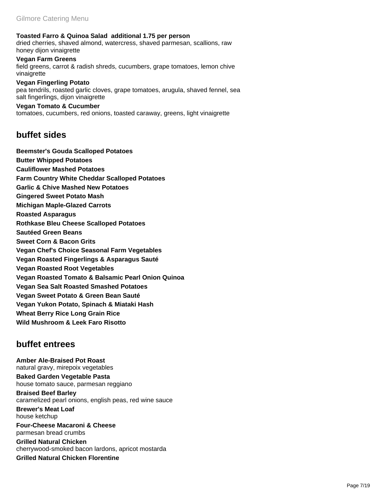**Toasted Farro & Quinoa Salad additional 1.75 per person**

dried cherries, shaved almond, watercress, shaved parmesan, scallions, raw honey dijon vinaigrette

**Vegan Farm Greens**  field greens, carrot & radish shreds, cucumbers, grape tomatoes, lemon chive vinaigrette

**Vegan Fingerling Potato**  pea tendrils, roasted garlic cloves, grape tomatoes, arugula, shaved fennel, sea salt fingerlings, dijon vinaigrette

**Vegan Tomato & Cucumber**  tomatoes, cucumbers, red onions, toasted caraway, greens, light vinaigrette

### **buffet sides**

**Beemster's Gouda Scalloped Potatoes Butter Whipped Potatoes Cauliflower Mashed Potatoes Farm Country White Cheddar Scalloped Potatoes Garlic & Chive Mashed New Potatoes Gingered Sweet Potato Mash Michigan Maple-Glazed Carrots Roasted Asparagus Rothkase Bleu Cheese Scalloped Potatoes Sautéed Green Beans Sweet Corn & Bacon Grits Vegan Chef's Choice Seasonal Farm Vegetables Vegan Roasted Fingerlings & Asparagus Sauté Vegan Roasted Root Vegetables Vegan Roasted Tomato & Balsamic Pearl Onion Quinoa Vegan Sea Salt Roasted Smashed Potatoes Vegan Sweet Potato & Green Bean Sauté Vegan Yukon Potato, Spinach & Miataki Hash Wheat Berry Rice Long Grain Rice Wild Mushroom & Leek Faro Risotto** 

## **buffet entrees**

**Amber Ale-Braised Pot Roast**  natural gravy, mirepoix vegetables **Baked Garden Vegetable Pasta**  house tomato sauce, parmesan reggiano **Braised Beef Barley**  caramelized pearl onions, english peas, red wine sauce **Brewer's Meat Loaf**  house ketchup **Four-Cheese Macaroni & Cheese**  parmesan bread crumbs **Grilled Natural Chicken**  cherrywood-smoked bacon lardons, apricot mostarda **Grilled Natural Chicken Florentine**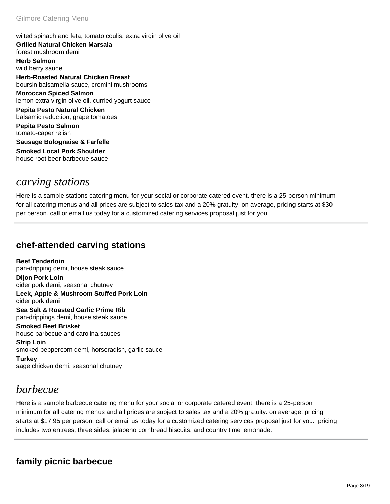wilted spinach and feta, tomato coulis, extra virgin olive oil **Grilled Natural Chicken Marsala**  forest mushroom demi **Herb Salmon**  wild berry sauce **Herb-Roasted Natural Chicken Breast**  boursin balsamella sauce, cremini mushrooms **Moroccan Spiced Salmon**  lemon extra virgin olive oil, curried yogurt sauce **Pepita Pesto Natural Chicken**  balsamic reduction, grape tomatoes **Pepita Pesto Salmon**  tomato-caper relish

**Sausage Bolognaise & Farfelle Smoked Local Pork Shoulder**  house root beer barbecue sauce

## *carving stations*

Here is a sample stations catering menu for your social or corporate catered event. there is a 25-person minimum for all catering menus and all prices are subject to sales tax and a 20% gratuity. on average, pricing starts at \$30 per person. call or email us today for a customized catering services proposal just for you.

## **chef-attended carving stations**

**Beef Tenderloin**  pan-dripping demi, house steak sauce **Dijon Pork Loin**  cider pork demi, seasonal chutney **Leek, Apple & Mushroom Stuffed Pork Loin**  cider pork demi

**Sea Salt & Roasted Garlic Prime Rib**  pan-drippings demi, house steak sauce

**Smoked Beef Brisket**  house barbecue and carolina sauces **Strip Loin**  smoked peppercorn demi, horseradish, garlic sauce

**Turkey**  sage chicken demi, seasonal chutney

# *barbecue*

Here is a sample barbecue catering menu for your social or corporate catered event. there is a 25-person minimum for all catering menus and all prices are subject to sales tax and a 20% gratuity. on average, pricing starts at \$17.95 per person. call or email us today for a customized catering services proposal just for you. pricing includes two entrees, three sides, jalapeno cornbread biscuits, and country time lemonade.

## **family picnic barbecue**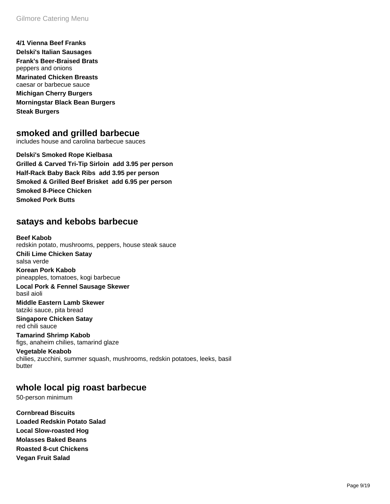**4/1 Vienna Beef Franks Delski's Italian Sausages Frank's Beer-Braised Brats**  peppers and onions **Marinated Chicken Breasts**  caesar or barbecue sauce **Michigan Cherry Burgers Morningstar Black Bean Burgers Steak Burgers** 

### **smoked and grilled barbecue**

includes house and carolina barbecue sauces

**Delski's Smoked Rope Kielbasa Grilled & Carved Tri-Tip Sirloin add 3.95 per person Half-Rack Baby Back Ribs add 3.95 per person Smoked & Grilled Beef Brisket add 6.95 per person Smoked 8-Piece Chicken Smoked Pork Butts** 

### **satays and kebobs barbecue**

**Beef Kabob**  redskin potato, mushrooms, peppers, house steak sauce **Chili Lime Chicken Satay**  salsa verde

**Korean Pork Kabob**  pineapples, tomatoes, kogi barbecue

**Local Pork & Fennel Sausage Skewer**  basil aioli

**Middle Eastern Lamb Skewer**  tatziki sauce, pita bread

**Singapore Chicken Satay**  red chili sauce

**Tamarind Shrimp Kabob**  figs, anaheim chilies, tamarind glaze

**Vegetable Keabob**  chilies, zucchini, summer squash, mushrooms, redskin potatoes, leeks, basil butter

### **whole local pig roast barbecue**

50-person minimum

**Cornbread Biscuits Loaded Redskin Potato Salad Local Slow-roasted Hog Molasses Baked Beans Roasted 8-cut Chickens Vegan Fruit Salad**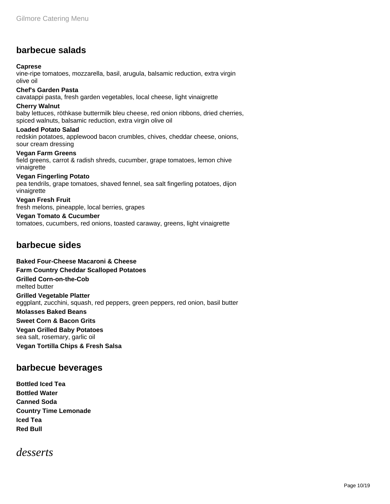## **barbecue salads**

### **Caprese**

vine-ripe tomatoes, mozzarella, basil, arugula, balsamic reduction, extra virgin olive oil

**Chef's Garden Pasta**  cavatappi pasta, fresh garden vegetables, local cheese, light vinaigrette **Cherry Walnut**  baby lettuces, röthkase buttermilk bleu cheese, red onion ribbons, dried cherries, spiced walnuts, balsamic reduction, extra virgin olive oil

**Loaded Potato Salad**  redskin potatoes, applewood bacon crumbles, chives, cheddar cheese, onions, sour cream dressing

**Vegan Farm Greens**  field greens, carrot & radish shreds, cucumber, grape tomatoes, lemon chive vinaigrette

### **Vegan Fingerling Potato**

pea tendrils, grape tomatoes, shaved fennel, sea salt fingerling potatoes, dijon vinaigrette

**Vegan Fresh Fruit**  fresh melons, pineapple, local berries, grapes

### **Vegan Tomato & Cucumber**

tomatoes, cucumbers, red onions, toasted caraway, greens, light vinaigrette

### **barbecue sides**

**Baked Four-Cheese Macaroni & Cheese** 

**Farm Country Cheddar Scalloped Potatoes** 

**Grilled Corn-on-the-Cob** 

melted butter

**Grilled Vegetable Platter** 

eggplant, zucchini, squash, red peppers, green peppers, red onion, basil butter

**Molasses Baked Beans** 

### **Sweet Corn & Bacon Grits**

**Vegan Grilled Baby Potatoes**  sea salt, rosemary, garlic oil **Vegan Tortilla Chips & Fresh Salsa** 

### **barbecue beverages**

**Bottled Iced Tea Bottled Water Canned Soda Country Time Lemonade Iced Tea Red Bull** 

*desserts*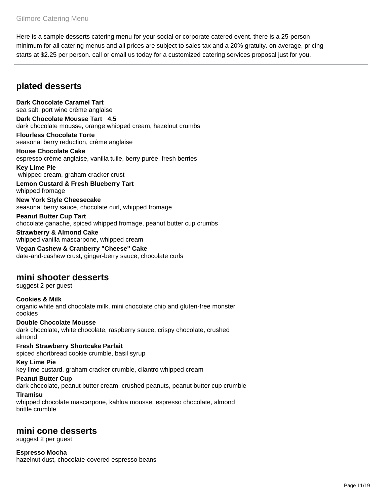Here is a sample desserts catering menu for your social or corporate catered event. there is a 25-person minimum for all catering menus and all prices are subject to sales tax and a 20% gratuity. on average, pricing starts at \$2.25 per person. call or email us today for a customized catering services proposal just for you.

## **plated desserts**

**Dark Chocolate Caramel Tart**  sea salt, port wine crème anglaise **Dark Chocolate Mousse Tart 4.5** dark chocolate mousse, orange whipped cream, hazelnut crumbs **Flourless Chocolate Torte**  seasonal berry reduction, crème anglaise **House Chocolate Cake** 

espresso crème anglaise, vanilla tuile, berry purée, fresh berries

**Key Lime Pie**  whipped cream, graham cracker crust

**Lemon Custard & Fresh Blueberry Tart**  whipped fromage

**New York Style Cheesecake**  seasonal berry sauce, chocolate curl, whipped fromage

**Peanut Butter Cup Tart**  chocolate ganache, spiced whipped fromage, peanut butter cup crumbs

**Strawberry & Almond Cake**  whipped vanilla mascarpone, whipped cream

**Vegan Cashew & Cranberry "Cheese" Cake**  date-and-cashew crust, ginger-berry sauce, chocolate curls

### **mini shooter desserts**

suggest 2 per guest

**Cookies & Milk**  organic white and chocolate milk, mini chocolate chip and gluten-free monster cookies

### **Double Chocolate Mousse**  dark chocolate, white chocolate, raspberry sauce, crispy chocolate, crushed almond

**Fresh Strawberry Shortcake Parfait**  spiced shortbread cookie crumble, basil syrup

### **Key Lime Pie**

key lime custard, graham cracker crumble, cilantro whipped cream

### **Peanut Butter Cup**

dark chocolate, peanut butter cream, crushed peanuts, peanut butter cup crumble

### **Tiramisu**

whipped chocolate mascarpone, kahlua mousse, espresso chocolate, almond brittle crumble

### **mini cone desserts**

suggest 2 per guest

**Espresso Mocha**  hazelnut dust, chocolate-covered espresso beans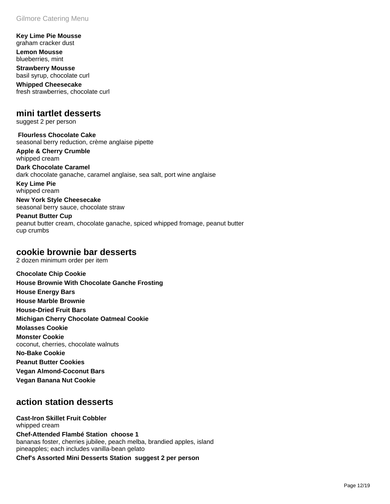**Key Lime Pie Mousse**  graham cracker dust

**Lemon Mousse**  blueberries, mint

**Strawberry Mousse**  basil syrup, chocolate curl

**Whipped Cheesecake**  fresh strawberries, chocolate curl

### **mini tartlet desserts**

suggest 2 per person

 **Flourless Chocolate Cake**  seasonal berry reduction, crème anglaise pipette

**Apple & Cherry Crumble**  whipped cream **Dark Chocolate Caramel**  dark chocolate ganache, caramel anglaise, sea salt, port wine anglaise

**Key Lime Pie**  whipped cream

**New York Style Cheesecake**  seasonal berry sauce, chocolate straw

**Peanut Butter Cup**  peanut butter cream, chocolate ganache, spiced whipped fromage, peanut butter cup crumbs

### **cookie brownie bar desserts**

2 dozen minimum order per item

**Chocolate Chip Cookie House Brownie With Chocolate Ganche Frosting House Energy Bars House Marble Brownie House-Dried Fruit Bars Michigan Cherry Chocolate Oatmeal Cookie Molasses Cookie Monster Cookie**  coconut, cherries, chocolate walnuts **No-Bake Cookie Peanut Butter Cookies Vegan Almond-Coconut Bars Vegan Banana Nut Cookie** 

## **action station desserts**

**Cast-Iron Skillet Fruit Cobbler**  whipped cream **Chef-Attended Flambé Station choose 1** bananas foster, cherries jubilee, peach melba, brandied apples, island pineapples; each includes vanilla-bean gelato

**Chef's Assorted Mini Desserts Station suggest 2 per person**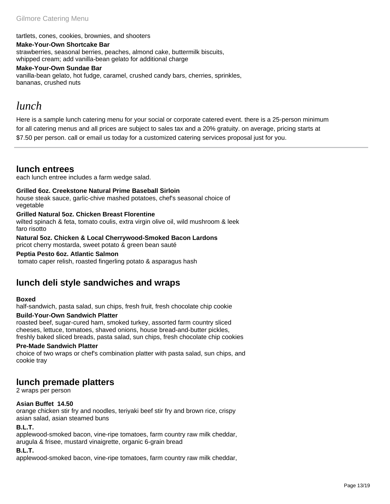tartlets, cones, cookies, brownies, and shooters

#### **Make-Your-Own Shortcake Bar**

strawberries, seasonal berries, peaches, almond cake, buttermilk biscuits, whipped cream; add vanilla-bean gelato for additional charge

#### **Make-Your-Own Sundae Bar**

vanilla-bean gelato, hot fudge, caramel, crushed candy bars, cherries, sprinkles, bananas, crushed nuts

## *lunch*

Here is a sample lunch catering menu for your social or corporate catered event. there is a 25-person minimum for all catering menus and all prices are subject to sales tax and a 20% gratuity. on average, pricing starts at \$7.50 per person. call or email us today for a customized catering services proposal just for you.

### **lunch entrees**

each lunch entree includes a farm wedge salad.

### **Grilled 6oz. Creekstone Natural Prime Baseball Sirloin**

house steak sauce, garlic-chive mashed potatoes, chef's seasonal choice of vegetable

### **Grilled Natural 5oz. Chicken Breast Florentine**

wilted spinach & feta, tomato coulis, extra virgin olive oil, wild mushroom & leek faro risotto

### **Natural 5oz. Chicken & Local Cherrywood-Smoked Bacon Lardons**

pricot cherry mostarda, sweet potato & green bean sauté

### **Peptia Pesto 6oz. Atlantic Salmon**

tomato caper relish, roasted fingerling potato & asparagus hash

## **lunch deli style sandwiches and wraps**

### **Boxed**

half-sandwich, pasta salad, sun chips, fresh fruit, fresh chocolate chip cookie

### **Build-Your-Own Sandwich Platter**

roasted beef, sugar-cured ham, smoked turkey, assorted farm country sliced cheeses, lettuce, tomatoes, shaved onions, house bread-and-butter pickles, freshly baked sliced breads, pasta salad, sun chips, fresh chocolate chip cookies

### **Pre-Made Sandwich Platter**

choice of two wraps or chef's combination platter with pasta salad, sun chips, and cookie tray

### **lunch premade platters**

2 wraps per person

### **Asian Buffet 14.50**

orange chicken stir fry and noodles, teriyaki beef stir fry and brown rice, crispy asian salad, asian steamed buns

### **B.L.T.**

applewood-smoked bacon, vine-ripe tomatoes, farm country raw milk cheddar, arugula & frisee, mustard vinaigrette, organic 6-grain bread

### **B.L.T.**

applewood-smoked bacon, vine-ripe tomatoes, farm country raw milk cheddar,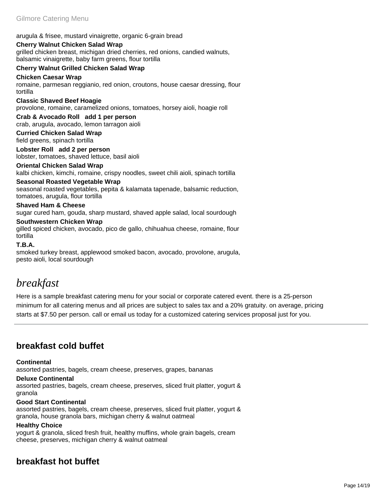arugula & frisee, mustard vinaigrette, organic 6-grain bread

### **Cherry Walnut Chicken Salad Wrap**

grilled chicken breast, michigan dried cherries, red onions, candied walnuts, balsamic vinaigrette, baby farm greens, flour tortilla

### **Cherry Walnut Grilled Chicken Salad Wrap**

### **Chicken Caesar Wrap**

romaine, parmesan reggianio, red onion, croutons, house caesar dressing, flour tortilla

### **Classic Shaved Beef Hoagie**

provolone, romaine, caramelized onions, tomatoes, horsey aioli, hoagie roll

**Crab & Avocado Roll add 1 per person** crab, arugula, avocado, lemon tarragon aioli

#### **Curried Chicken Salad Wrap**  field greens, spinach tortilla

**Lobster Roll add 2 per person** lobster, tomatoes, shaved lettuce, basil aioli

### **Oriental Chicken Salad Wrap**

kalbi chicken, kimchi, romaine, crispy noodles, sweet chili aioli, spinach tortilla

### **Seasonal Roasted Vegetable Wrap**

seasonal roasted vegetables, pepita & kalamata tapenade, balsamic reduction, tomatoes, arugula, flour tortilla

#### **Shaved Ham & Cheese**

sugar cured ham, gouda, sharp mustard, shaved apple salad, local sourdough

#### **Southwestern Chicken Wrap**

gilled spiced chicken, avocado, pico de gallo, chihuahua cheese, romaine, flour tortilla

### **T.B.A.**

smoked turkey breast, applewood smoked bacon, avocado, provolone, arugula, pesto aioli, local sourdough

# *breakfast*

Here is a sample breakfast catering menu for your social or corporate catered event. there is a 25-person minimum for all catering menus and all prices are subject to sales tax and a 20% gratuity. on average, pricing starts at \$7.50 per person. call or email us today for a customized catering services proposal just for you.

## **breakfast cold buffet**

### **Continental**

assorted pastries, bagels, cream cheese, preserves, grapes, bananas

#### **Deluxe Continental**

assorted pastries, bagels, cream cheese, preserves, sliced fruit platter, yogurt & granola

### **Good Start Continental**

assorted pastries, bagels, cream cheese, preserves, sliced fruit platter, yogurt & granola, house granola bars, michigan cherry & walnut oatmeal

### **Healthy Choice**

yogurt & granola, sliced fresh fruit, healthy muffins, whole grain bagels, cream cheese, preserves, michigan cherry & walnut oatmeal

## **breakfast hot buffet**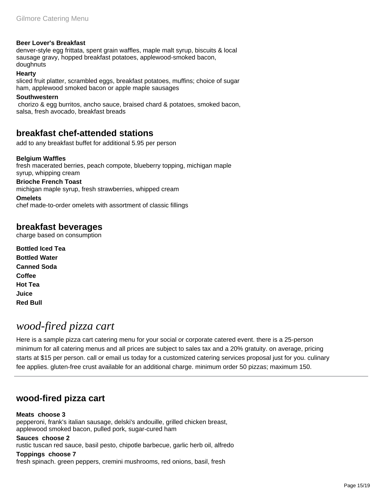### **Beer Lover's Breakfast**

denver-style egg frittata, spent grain waffles, maple malt syrup, biscuits & local sausage gravy, hopped breakfast potatoes, applewood-smoked bacon, doughnuts

### **Hearty**

sliced fruit platter, scrambled eggs, breakfast potatoes, muffins; choice of sugar ham, applewood smoked bacon or apple maple sausages

#### **Southwestern**

 chorizo & egg burritos, ancho sauce, braised chard & potatoes, smoked bacon, salsa, fresh avocado, breakfast breads

### **breakfast chef-attended stations**

add to any breakfast buffet for additional 5.95 per person

### **Belgium Waffles**

fresh macerated berries, peach compote, blueberry topping, michigan maple syrup, whipping cream

### **Brioche French Toast**

michigan maple syrup, fresh strawberries, whipped cream

#### **Omelets**

chef made-to-order omelets with assortment of classic fillings

### **breakfast beverages**

charge based on consumption

**Bottled Iced Tea Bottled Water Canned Soda Coffee Hot Tea Juice Red Bull** 

# *wood-fired pizza cart*

Here is a sample pizza cart catering menu for your social or corporate catered event. there is a 25-person minimum for all catering menus and all prices are subject to sales tax and a 20% gratuity. on average, pricing starts at \$15 per person. call or email us today for a customized catering services proposal just for you. culinary fee applies. gluten-free crust available for an additional charge. minimum order 50 pizzas; maximum 150.

### **wood-fired pizza cart**

### **Meats choose 3**

pepperoni, frank's italian sausage, delski's andouille, grilled chicken breast, applewood smoked bacon, pulled pork, sugar-cured ham

### **Sauces choose 2**

rustic tuscan red sauce, basil pesto, chipotle barbecue, garlic herb oil, alfredo

### **Toppings choose 7**

fresh spinach. green peppers, cremini mushrooms, red onions, basil, fresh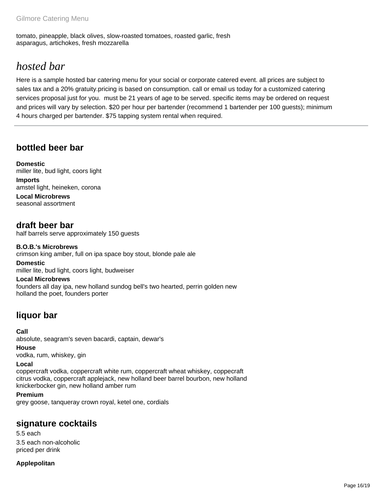tomato, pineapple, black olives, slow-roasted tomatoes, roasted garlic, fresh asparagus, artichokes, fresh mozzarella

# *hosted bar*

Here is a sample hosted bar catering menu for your social or corporate catered event. all prices are subject to sales tax and a 20% gratuity.pricing is based on consumption. call or email us today for a customized catering services proposal just for you. must be 21 years of age to be served. specific items may be ordered on request and prices will vary by selection. \$20 per hour per bartender (recommend 1 bartender per 100 guests); minimum 4 hours charged per bartender. \$75 tapping system rental when required.

## **bottled beer bar**

**Domestic**  miller lite, bud light, coors light **Imports**  amstel light, heineken, corona **Local Microbrews** 

seasonal assortment

### **draft beer bar** half barrels serve approximately 150 guests

**B.O.B.'s Microbrews** 

crimson king amber, full on ipa space boy stout, blonde pale ale

**Domestic**  miller lite, bud light, coors light, budweiser

**Local Microbrews**  founders all day ipa, new holland sundog bell's two hearted, perrin golden new holland the poet, founders porter

## **liquor bar**

### **Call**

absolute, seagram's seven bacardi, captain, dewar's

### **House**

vodka, rum, whiskey, gin

### **Local**

coppercraft vodka, coppercraft white rum, coppercraft wheat whiskey, coppecraft citrus vodka, coppercraft applejack, new holland beer barrel bourbon, new holland knickerbocker gin, new holland amber rum

### **Premium**

grey goose, tanqueray crown royal, ketel one, cordials

## **signature cocktails**

5.5 each 3.5 each non-alcoholic priced per drink

### **Applepolitan**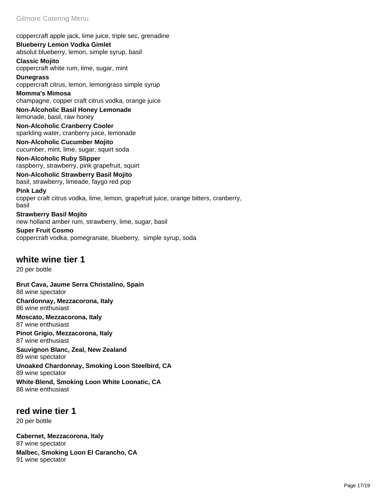coppercraft apple jack, lime juice, triple sec, grenadine

**Blueberry Lemon Vodka Gimlet**  absolut blueberry, lemon, simple syrup, basil

**Classic Mojito**  coppercraft white rum, lime, sugar, mint

**Dunegrass**  coppercraft citrus, lemon, lemongrass simple syrup

**Momma's Mimosa**  champagne, copper craft citrus vodka, orange juice

**Non-Alcoholic Basil Honey Lemonade**  lemonade, basil, raw honey

**Non-Alcoholic Cranberry Cooler**  sparkling water, cranberry juice, lemonade

**Non-Alcoholic Cucumber Mojito**  cucumber, mint, lime, sugar, squirt soda

**Non-Alcoholic Ruby Slipper**  raspberry, strawberry, pink grapefruit, squirt

**Non-Alcoholic Strawberry Basil Mojito**  basil, strawberry, limeade, faygo red pop

**Pink Lady**  copper craft citrus vodka, lime, lemon, grapefruit juice, orange bitters, cranberry, basil

**Strawberry Basil Mojito**  new holland amber rum, strawberry, lime, sugar, basil

**Super Fruit Cosmo**  coppercraft vodka, pomegranate, blueberry, simple syrup, soda

## **white wine tier 1**

20 per bottle

**Brut Cava, Jaume Serra Christalino, Spain**  88 wine spectator

**Chardonnay, Mezzacorona, Italy**  86 wine enthusiast

**Moscato, Mezzacorona, Italy**  87 wine enthusiast

**Pinot Grigio, Mezzacorona, Italy**  87 wine enthusiast

**Sauvignon Blanc, Zeal, New Zealand**  89 wine spectator

**Unoaked Chardonnay, Smoking Loon Steelbird, CA**  89 wine spectator

**White Blend, Smoking Loon White Loonatic, CA**  88 wine enthusiast

## **red wine tier 1**

20 per bottle

**Cabernet, Mezzacorona, Italy**  87 wine spectator

**Malbec, Smoking Loon El Carancho, CA**  91 wine spectator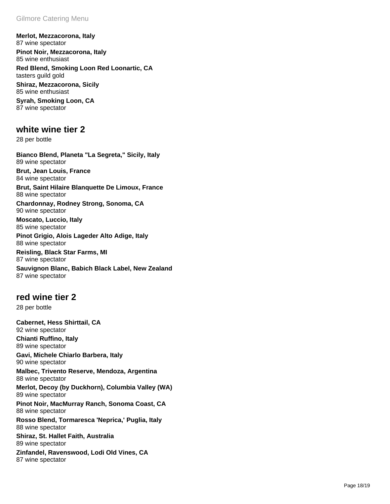**Merlot, Mezzacorona, Italy**  87 wine spectator **Pinot Noir, Mezzacorona, Italy**  85 wine enthusiast **Red Blend, Smoking Loon Red Loonartic, CA**  tasters guild gold **Shiraz, Mezzacorona, Sicily**  85 wine enthusiast **Syrah, Smoking Loon, CA**  87 wine spectator

### **white wine tier 2**

28 per bottle

**Bianco Blend, Planeta "La Segreta," Sicily, Italy**  89 wine spectator **Brut, Jean Louis, France** 

84 wine spectator

**Brut, Saint Hilaire Blanquette De Limoux, France**  88 wine spectator

**Chardonnay, Rodney Strong, Sonoma, CA**  90 wine spectator

**Moscato, Luccio, Italy**  85 wine spectator

**Pinot Grigio, Alois Lageder Alto Adige, Italy**  88 wine spectator

**Reisling, Black Star Farms, MI**  87 wine spectator

**Sauvignon Blanc, Babich Black Label, New Zealand**  87 wine spectator

### **red wine tier 2**

28 per bottle

**Cabernet, Hess Shirttail, CA**  92 wine spectator **Chianti Ruffino, Italy**  89 wine spectator **Gavi, Michele Chiarlo Barbera, Italy**  90 wine spectator **Malbec, Trivento Reserve, Mendoza, Argentina**  88 wine spectator **Merlot, Decoy (by Duckhorn), Columbia Valley (WA)**  89 wine spectator **Pinot Noir, MacMurray Ranch, Sonoma Coast, CA**  88 wine spectator **Rosso Blend, Tormaresca 'Neprica,' Puglia, Italy**  88 wine spectator **Shiraz, St. Hallet Faith, Australia**  89 wine spectator

**Zinfandel, Ravenswood, Lodi Old Vines, CA**  87 wine spectator